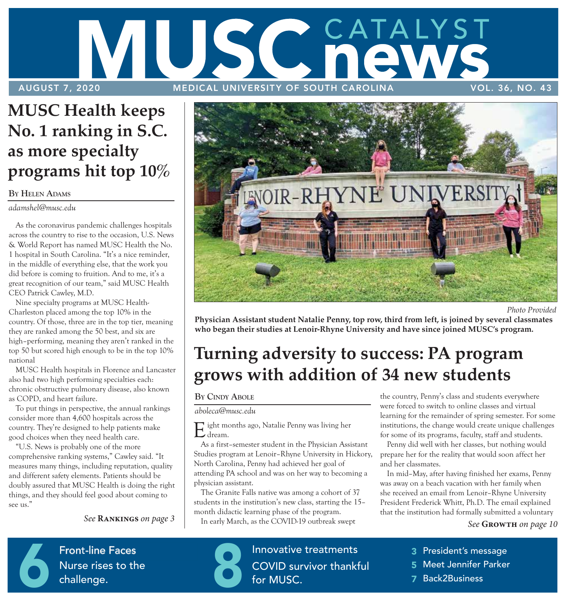# CATALYST SC AUGUST 7, 2020 MEDICAL UNIVERSITY OF SOUTH CAROLINA VOL. 36, NO. 43

### **MUSC Health keeps No. 1 ranking in S.C. as more specialty programs hit top 10%**

### **BY HELEN ADAMS**

*adamshel@musc.edu*

As the coronavirus pandemic challenges hospitals across the country to rise to the occasion, U.S. News & World Report has named MUSC Health the No. 1 hospital in South Carolina. "It's a nice reminder, in the middle of everything else, that the work you did before is coming to fruition. And to me, it's a great recognition of our team," said MUSC Health CEO Patrick Cawley, M.D.

Nine specialty programs at MUSC Health-Charleston placed among the top 10% in the country. Of those, three are in the top tier, meaning they are ranked among the 50 best, and six are high–performing, meaning they aren't ranked in the top 50 but scored high enough to be in the top 10% national

MUSC Health hospitals in Florence and Lancaster also had two high performing specialties each: chronic obstructive pulmonary disease, also known as COPD, and heart failure.

To put things in perspective, the annual rankings consider more than 4,600 hospitals across the country. They're designed to help patients make good choices when they need health care.

"U.S. News is probably one of the more comprehensive ranking systems," Cawley said. "It measures many things, including reputation, quality and different safety elements. Patients should be doubly assured that MUSC Health is doing the right things, and they should feel good about coming to see us."

*See* **Rankings** *on page 3* 



 *Photo Provided* 

**Physician Assistant student Natalie Penny, top row, third from left, is joined by several classmates who began their studies at Lenoir-Rhyne University and have since joined MUSC's program.** 

### **Turning adversity to success: PA program grows with addition of 34 new students**

### **BY CINDY ABOLE**

### *aboleca@musc.edu*

Eight months ago, Natalie Penny was living her dream.

As a first–semester student in the Physician Assistant Studies program at Lenoir–Rhyne University in Hickory, North Carolina, Penny had achieved her goal of attending PA school and was on her way to becoming a physician assistant.

The Granite Falls native was among a cohort of 37 students in the institution's new class, starting the 15– month didactic learning phase of the program.

In early March, as the COVID-19 outbreak swept

the country, Penny's class and students everywhere were forced to switch to online classes and virtual learning for the remainder of spring semester. For some institutions, the change would create unique challenges for some of its programs, faculty, staff and students.

Penny did well with her classes, but nothing would prepare her for the reality that would soon affect her and her classmates.

In mid–May, after having finished her exams, Penny was away on a beach vacation with her family when she received an email from Lenoir–Rhyne University President Frederick Whitt, Ph.D. The email explained that the institution had formally submitted a voluntary

### *See* **Growth** *on page 10*

**Properties P**  $\frac{1}{2}$  Nonctine races Nurse rises t Front-line Faces<br>Nurse rises to the<br>challenge. Nurse rises to the challenge.



**School–based clinic**  Finovative treatments COVID survive Innovative treatments<br>COVID survivor thankf<br>for MUSC. COVID survivor thankful for MUSC.

- 3 President's message
- 5 Meet Jennifer Parker MUSC DOMINOR POINCE
- 7 Back2Business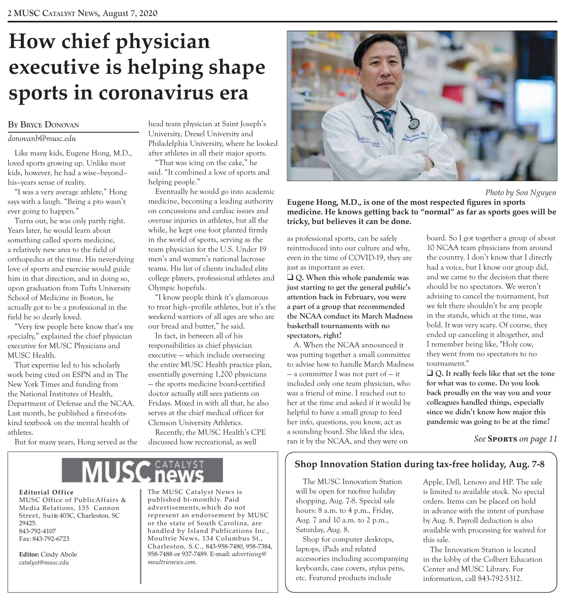# **How chief physician executive is helping shape sports in coronavirus era**

#### **BY BRYCE DONOVAN**

### *donovanb@musc.edu*

Like many kids, Eugene Hong, M.D., loved sports growing up. Unlike most kids, however, he had a wise–beyond– his–years sense of reality.

"I was a very average athlete," Hong says with a laugh. "Being a pro wasn't ever going to happen."

Turns out, he was only partly right. Years later, he would learn about something called sports medicine, a relatively new area to the field of orthopedics at the time. His never-dying love of sports and exercise would guide him in that direction, and in doing so, upon graduation from Tufts University School of Medicine in Boston, he actually got to be a professional in the field he so dearly loved.

"Very few people here know that's my specialty," explained the chief physician executive for MUSC Physicians and MUSC Health.

That expertise led to his scholarly work being cited on ESPN and in The New York Times and funding from the National Institutes of Health, Department of Defense and the NCAA. Last month, he published a first-of-itskind textbook on the mental health of athletes.

But for many years, Hong served as the

head team physician at Saint Joseph's University, Drexel University and Philadelphia University, where he looked after athletes in all their major sports.

"That was icing on the cake," he said. "It combined a love of sports and helping people."

Eventually he would go into academic medicine, becoming a leading authority on concussions and cardiac issues and overuse injuries in athletes, but all the while, he kept one foot planted firmly in the world of sports, serving as the team physician for the U.S. Under 19 men's and women's national lacrosse teams. His list of clients included elite college players, professional athletes and Olympic hopefuls.

"I know people think it's glamorous to treat high–profile athletes, but it's the weekend warriors of all ages are who are our bread and butter," he said.

In fact, in between all of his responsibilities as chief physician executive — which include overseeing the entire MUSC Health practice plan, essentially governing 1,200 physicians — the sports medicine board-certified doctor actually still sees patients on Fridays. Mixed in with all that, he also serves at the chief medical officer for Clemson University Athletics.

Recently, the MUSC Health's CPE discussed how recreational, as well



 *Photo by Son Nguyen*

**Eugene Hong, M.D., is one of the most respected figures in sports medicine. He knows getting back to "normal" as far as sports goes will be tricky, but believes it can be done.** 

as professional sports, can be safely reintroduced into our culture and why, even in the time of COVID-19, they are just as important as ever.

**□ O.** When this whole pandemic was **just starting to get the general public's attention back in February, you were a part of a group that recommended the NCAA conduct its March Madness basketball tournaments with no spectators, right?** 

A. When the NCAA announced it was putting together a small committee to advise how to handle March Madness  $-$  a committee I was not part of  $-$  it included only one team physician, who was a friend of mine. I reached out to her at the time and asked if it would be helpful to have a small group to feed her info, questions, you know, act as a sounding board. She liked the idea, ran it by the NCAA, and they were on

board. So I got together a group of about 10 NCAA team physicians from around the country. I don't know that I directly had a voice, but I know our group did, and we came to the decision that there should be no spectators. We weren't advising to cancel the tournament, but we felt there shouldn't be any people in the stands, which at the time, was bold. It was very scary. Of course, they ended up canceling it altogether, and I remember being like, "Holy cow, they went from no spectators to no tournament."

**□ Q.** It really feels like that set the tone **for what was to come. Do you look back proudly on the way you and your colleagues handled things, especially since we didn't know how major this pandemic was going to be at the time?** 

*See* **Sports** *on page 11* 

### **Shop Innovation Station during tax-free holiday, Aug. 7-8**

The MUSC Innovation Station will be open for tax-free holiday shopping, Aug. 7-8. Special sale hours: 8 a.m. to 4 p.m., Friday, Aug. 7 and 10 a.m. to 2 p.m., Saturday, Aug. 8.

Shop for computer desktops, laptops, iPads and related accessories including accompanying keyboards, case covers, stylus pens, etc. Featured products include

Apple, Dell, Lenovo and HP. The sale is limited to available stock. No special orders. Items can be placed on hold in advance with the intent of purchase by Aug. 8. Payroll deduction is also available with processing fee waived for this sale.

The Innovation Station is located in the lobby of the Colbert Education Center and MUSC Library. For information, call 843-792-5312.

### **Editorial Office**

MUSC Office of PublicAffairs & Media Relations, 135 Cannon<br>Street, Suite 403C, Charleston, SC

The MUSC Catalyst News is published bi-monthly. Paid<br>advertisements, which do not Street, Suite 403C, Charleston, SC prepresent an endorsement by MUSC 29425. 29425. or the state of South Carolina, are 843-792-4107<br>Fax: 843-792-6723 **handled by Island Publications Inc.**,<br>Moultrie News, 134 Columbus St., Moultrie News, 134 Columbus St., Charles ton, S.C., 843-958-7480, 958-7384, **Editor:** Cindy Abole 958-7488 or 937-7489. E-mail: *advertising* atalyst @musc.edu *catalyst@musc.edu moultrienews.com.*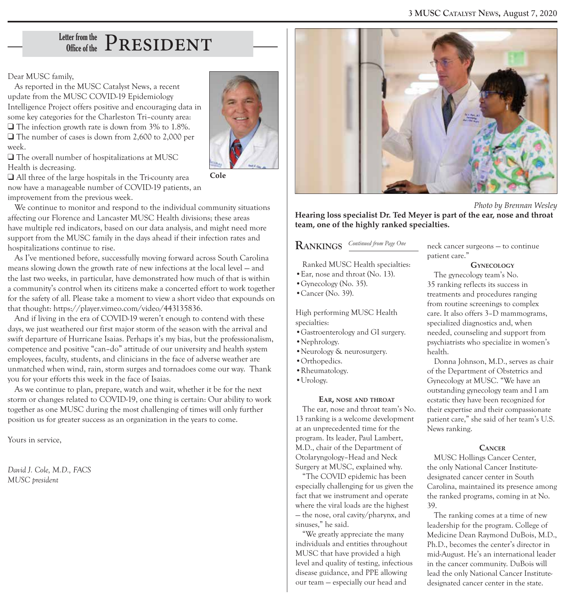# $_\mathrm{Office\ of\ the}^\mathrm{Letter\ from\ the}$   $\mathrm{PRESIDENT}$

Dear MUSC family,

As reported in the MUSC Catalyst News, a recent update from the MUSC COVID-19 Epidemiology Intelligence Project offers positive and encouraging data in some key categories for the Charleston Tri–county area:  $\Box$  The infection growth rate is down from 3% to 1.8%.  $\Box$  The number of cases is down from 2,600 to 2,000 per week.



 $\Box$  The overall number of hospitalizations at MUSC Health is decreasing.

 $\Box$  All three of the large hospitals in the Tri-county area now have a manageable number of COVID-19 patients, an improvement from the previous week.

We continue to monitor and respond to the individual community situations affecting our Florence and Lancaster MUSC Health divisions; these areas have multiple red indicators, based on our data analysis, and might need more support from the MUSC family in the days ahead if their infection rates and hospitalizations continue to rise.

As I've mentioned before, successfully moving forward across South Carolina means slowing down the growth rate of new infections at the local level — and the last two weeks, in particular, have demonstrated how much of that is within a community's control when its citizens make a concerted effort to work together for the safety of all. Please take a moment to view a short video that expounds on that thought: https://player.vimeo.com/video/443135836.

And if living in the era of COVID-19 weren't enough to contend with these days, we just weathered our first major storm of the season with the arrival and swift departure of Hurricane Isaias. Perhaps it's my bias, but the professionalism, competence and positive "can–do" attitude of our university and health system employees, faculty, students, and clinicians in the face of adverse weather are unmatched when wind, rain, storm surges and tornadoes come our way. Thank you for your efforts this week in the face of Isaias.

As we continue to plan, prepare, watch and wait, whether it be for the next storm or changes related to COVID-19, one thing is certain: Our ability to work together as one MUSC during the most challenging of times will only further position us for greater success as an organization in the years to come.

Yours in service,

*David J. Cole, M.D., FACS MUSC president* 



 *Photo by Brennan Wesley*

**Hearing loss specialist Dr. Ted Meyer is part of the ear, nose and throat team, one of the highly ranked specialties.** 

### $\frac{Continued from Page One}{\sqrt{ANNKINGS}}$

Ranked MUSC Health specialties:

- •Ear, nose and throat (No. 13).
- •Gynecology (No. 35).
- •Cancer (No. 39).

High performing MUSC Health specialties:

- •Gastroenterology and GI surgery.
- •Nephrology.
- •Neurology & neurosurgery.
- •Orthopedics.
- •Rheumatology.
- •Urology.

### **EAR, NOSE AND THROAT**

The ear, nose and throat team's No. 13 ranking is a welcome development at an unprecedented time for the program. Its leader, Paul Lambert, M.D., chair of the Department of Otolaryngology–Head and Neck Surgery at MUSC, explained why.

"The COVID epidemic has been especially challenging for us given the fact that we instrument and operate where the viral loads are the highest — the nose, oral cavity/pharynx, and sinuses," he said.

"We greatly appreciate the many individuals and entities throughout MUSC that have provided a high level and quality of testing, infectious disease guidance, and PPE allowing our team — especially our head and

neck cancer surgeons — to continue patient care."

#### **GYNECOLOGY**

The gynecology team's No. 35 ranking reflects its success in treatments and procedures ranging from routine screenings to complex care. It also offers 3–D mammograms, specialized diagnostics and, when needed, counseling and support from psychiatrists who specialize in women's health.

Donna Johnson, M.D., serves as chair of the Department of Obstetrics and Gynecology at MUSC. "We have an outstanding gynecology team and I am ecstatic they have been recognized for their expertise and their compassionate patient care," she said of her team's U.S. News ranking.

#### **CANCER**

MUSC Hollings Cancer Center, the only National Cancer Institutedesignated cancer center in South Carolina, maintained its presence among the ranked programs, coming in at No. 39.

The ranking comes at a time of new leadership for the program. College of Medicine Dean Raymond DuBois, M.D., Ph.D., becomes the center's director in mid-August. He's an international leader in the cancer community. DuBois will lead the only National Cancer Institutedesignated cancer center in the state.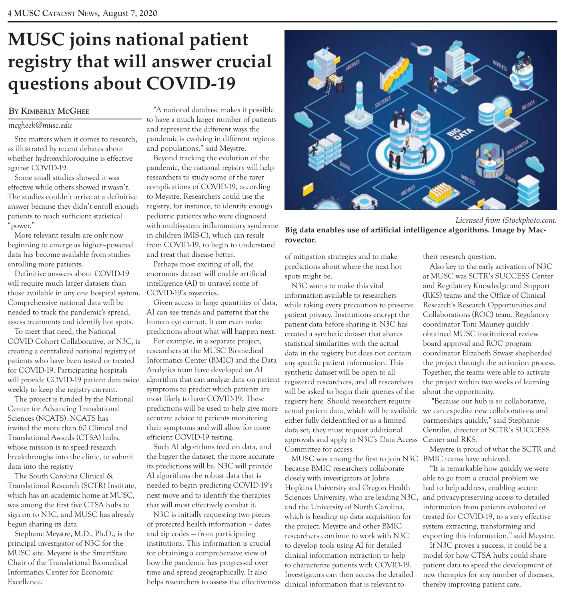### **MUSC joins national patient registry that will answer crucial questions about COVID-19**

#### **BY KIMBERLY MCGHEE**

### *mcgheek@musc.edu*

Size matters when it comes to research, as illustrated by recent debates about whether hydroxychloroquine is effective against COVID-19.

Some small studies showed it was effective while others showed it wasn't. The studies couldn't arrive at a definitive answer because they didn't enroll enough patients to reach sufficient statistical "power."

More relevant results are only now beginning to emerge as higher–powered data has become available from studies enrolling more patients.

Definitive answers about COVID-19 will require much larger datasets than those available in any one hospital system. Comprehensive national data will be needed to track the pandemic's spread, assess treatments and identify hot spots.

To meet that need, the National COVID Cohort Collaborative, or N3C, is creating a centralized national registry of patients who have been tested or treated for COVID-19. Participating hospitals will provide COVID-19 patient data twice weekly to keep the registry current.

The project is funded by the National Center for Advancing Translational Sciences (NCATS). NCATS has invited the more than 60 Clinical and Translational Awards (CTSA) hubs, whose mission is to speed research breakthroughs into the clinic, to submit data into the registry

The South Carolina Clinical & Translational Research (SCTR) Institute, which has an academic home at MUSC, was among the first five CTSA hubs to sign on to N3C, and MUSC has already begun sharing its data.

Stephane Meystre, M.D., Ph.D., is the principal investigator of N3C for the MUSC site. Meystre is the SmartState Chair of the Translational Biomedical Informatics Center for Economic Excellence.

"A national database makes it possible to have a much larger number of patients and represent the different ways the pandemic is evolving in different regions and populations," said Meystre.

Beyond tracking the evolution of the pandemic, the national registry will help researchers to study some of the rarer complications of COVID-19, according to Meystre. Researchers could use the registry, for instance, to identify enough pediatric patients who were diagnosed with multisystem inflammatory syndrome in children (MIS-C), which can result from COVID-19, to begin to understand and treat that disease better.

Perhaps most exciting of all, the enormous dataset will enable artificial intelligence (AI) to unravel some of COVID-19's mysteries.

Given access to large quantities of data, AI can see trends and patterns that the human eye cannot. It can even make predictions about what will happen next.

For example, in a separate project, researchers at the MUSC Biomedical Informatics Center (BMIC) and the Data Analytics team have developed an AI algorithm that can analyze data on patient symptoms to predict which patients are most likely to have COVID-19. These predictions will be used to help give more accurate advice to patients monitoring their symptoms and will allow for more efficient COVID-19 testing.

Such AI algorithms feed on data, and the bigger the dataset, the more accurate its predictions will be. N3C will provide AI algorithms the robust data that is needed to begin predicting COVID-19's next move and to identify the therapies that will most effectively combat it.

N3C is initially requesting two pieces of protected health information – dates and zip codes — from participating institutions. This information is crucial for obtaining a comprehensive view of how the pandemic has progressed over time and spread geographically. It also helps researchers to assess the effectiveness



 *Licensed from iStockphoto.com.*

**Big data enables use of artificial intelligence algorithms. Image by Macrovector.** 

of mitigation strategies and to make predictions about where the next hot spots might be.

N3C wants to make this vital information available to researchers while taking every precaution to preserve patient privacy. Institutions encrypt the patient data before sharing it. N3C has created a synthetic dataset that shares statistical similarities with the actual data in the registry but does not contain any specific patient information. This synthetic dataset will be open to all registered researchers, and all researchers will be asked to begin their queries of the registry here. Should researchers require actual patient data, which will be available we can expedite new collaborations and either fully deidentified or as a limited data set, they must request additional approvals and apply to N3C's Data Access Committee for access.

MUSC was among the first to join N3C BMIC teams have achieved. because BMIC researchers collaborate closely with investigators at Johns Hopkins University and Oregon Health Sciences University, who are leading N3C, and the University of North Carolina, which is heading up data acquisition for the project. Meystre and other BMIC researchers continue to work with N3C to develop tools using AI for detailed clinical information extraction to help to characterize patients with COVID-19. Investigators can then access the detailed clinical information that is relevant to

their research question.

Also key to the early activation of N3C at MUSC was SCTR's SUCCESS Center and Regulatory Knowledge and Support (RKS) teams and the Office of Clinical Research's Research Opportunities and Collaborations (ROC) team. Regulatory coordinator Toni Mauney quickly obtained MUSC institutional review board approval and ROC program coordinator Elizabeth Szwast shepherded the project through the activation process. Together, the teams were able to activate the project within two weeks of learning about the opportunity.

 "Because our hub is so collaborative, partnerships quickly," said Stephanie Gentilin, director of SCTR's SUCCESS Center and RKS.

Meystre is proud of what the SCTR and

"It is remarkable how quickly we were able to go from a crucial problem we had to help address, enabling secure and privacy-preserving access to detailed information from patients evaluated or treated for COVID-19, to a very effective system extracting, transforming and exporting this information," said Meystre.

If N3C proves a success, it could be a model for how CTSA hubs could share patient data to speed the development of new therapies for any number of diseases, thereby improving patient care.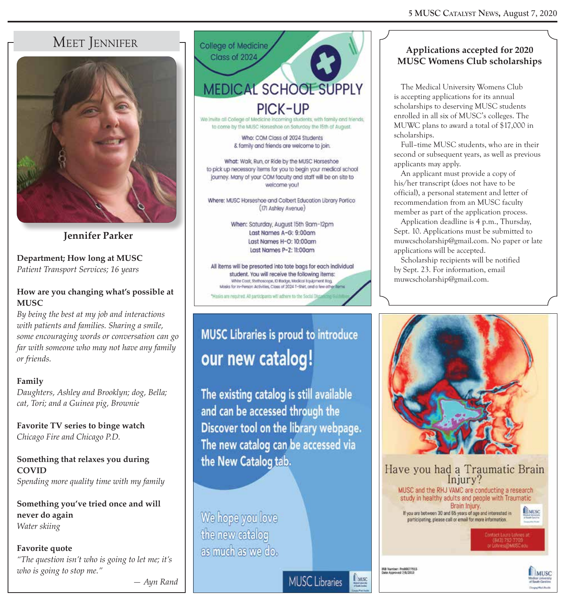### MEET JENNIFER



**Jennifer Parker** 

**Department; How long at MUSC** *Patient Transport Services; 16 years* 

### **How are you changing what's possible at MUSC**

*By being the best at my job and interactions with patients and families. Sharing a smile, some encouraging words or conversation can go far with someone who may not have any family or friends.* 

### **Family**

*Daughters, Ashley and Brooklyn; dog, Bella; cat, Tori; and a Guinea pig, Brownie* 

**Favorite TV series to binge watch** *Chicago Fire and Chicago P.D.* 

**Something that relaxes you during COVID**  *Spending more quality time with my family* 

**Something you've tried once and will never do again** *Water skiing* 

**Favorite quote** *"The question isn't who is going to let me; it's who is going to stop me."* 

College of Medicine Class of 2024 **MEDICAL SCHOOL SUPPLY** PICK-UP

We invite all College of Medicine incoming students, with family and friends, to come by the MUSC Horseshoe on Saturday the 15th of August.

> Who: COM Class of 2024 Students & family and friends are welcome to join.

What: Walk, Run, or Ride by the MUSC Horseshoe to pick up necessary items for you to begin your medical school journey. Many of your COM faculty and staff will be on site to welcome you!

Where: MUSC Horseshoe and Colbert Education Library Portico (17) Ashley Avenue)

> When: Saturday, August 15th 9am-12pm Last Names A-G: 9:00am Last Names H-O: 10:00am Last Names P-Z: 11:00am

All items will be presorted into tote bags for each individual student. You will receive the following items: White Coot, Stethoscope, C Badge, Medical Equipment Bag. Masks for in-Person Activities, Class of 2024 T-Shirt, and a few other items is are regulted. All participants will adhere to the S.

### **MUSC Libraries is proud to introduce** our new catalog!

The existing catalog is still available and can be accessed through the Discover tool on the library webpage. The new catalog can be accessed via the New Catalog tab.

**MUSC** Libraries

We hope you love the new catalog as much as we do.

### **Applications accepted for 2020 MUSC Womens Club scholarships**

The Medical University Womens Club is accepting applications for its annual scholarships to deserving MUSC students enrolled in all six of MUSC's colleges. The MUWC plans to award a total of \$17,000 in scholarships.

Full–time MUSC students, who are in their second or subsequent years, as well as previous applicants may apply.

An applicant must provide a copy of his/her transcript (does not have to be official), a personal statement and letter of recommendation from an MUSC faculty member as part of the application process.

Application deadline is 4 p.m., Thursday, Sept. 10. Applications must be submitted to muwcscholarship@gmail.com. No paper or late applications will be accepted.

Scholarship recipients will be notified by Sept. 23. For information, email muwcscholarship@gmail.com.



Have you had a Traumatic Brain Injury? MUSC and the RHJ VAMC are conducting a research study in healthy adults and people with Traumatic Brain Injury. **EMILSC** If you are between 30 and 66 years of age and interested in participating, please call or email for more information.

IRB Number: ProDO077915<br>Date Approved 7/6/2019

**LIMISC** 



 *— Ayn Rand*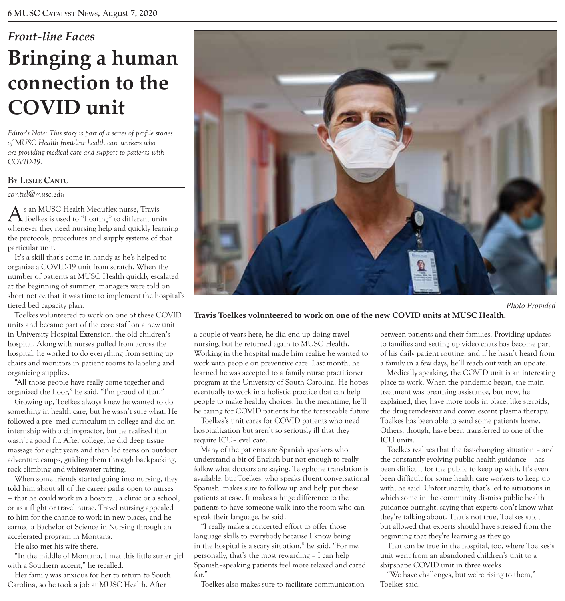# *Front-line Faces*  **Bringing a human connection to the COVID unit**

*Editor's Note: This story is part of a series of profile stories of MUSC Health front-line health care workers who are providing medical care and support to patients with COVID-19.* 

### **BY LESLIE CANTU**

*cantul@musc.edu* 

As an MUSC Health Meduflex nurse, Travis Toelkes is used to "floating" to different units whenever they need nursing help and quickly learning the protocols, procedures and supply systems of that particular unit.

It's a skill that's come in handy as he's helped to organize a COVID-19 unit from scratch. When the number of patients at MUSC Health quickly escalated at the beginning of summer, managers were told on short notice that it was time to implement the hospital's tiered bed capacity plan.

Toelkes volunteered to work on one of these COVID units and became part of the core staff on a new unit in University Hospital Extension, the old children's hospital. Along with nurses pulled from across the hospital, he worked to do everything from setting up chairs and monitors in patient rooms to labeling and organizing supplies.

"All those people have really come together and organized the floor," he said. "I'm proud of that."

Growing up, Toelkes always knew he wanted to do something in health care, but he wasn't sure what. He followed a pre–med curriculum in college and did an internship with a chiropractor, but he realized that wasn't a good fit. After college, he did deep tissue massage for eight years and then led teens on outdoor adventure camps, guiding them through backpacking, rock climbing and whitewater rafting.

When some friends started going into nursing, they told him about all of the career paths open to nurses — that he could work in a hospital, a clinic or a school, or as a flight or travel nurse. Travel nursing appealed to him for the chance to work in new places, and he earned a Bachelor of Science in Nursing through an accelerated program in Montana.

He also met his wife there.

"In the middle of Montana, I met this little surfer girl with a Southern accent," he recalled.

Her family was anxious for her to return to South Carolina, so he took a job at MUSC Health. After



 *Photo Provided* 

### **Travis Toelkes volunteered to work on one of the new COVID units at MUSC Health.**

a couple of years here, he did end up doing travel nursing, but he returned again to MUSC Health. Working in the hospital made him realize he wanted to work with people on preventive care. Last month, he learned he was accepted to a family nurse practitioner program at the University of South Carolina. He hopes eventually to work in a holistic practice that can help people to make healthy choices. In the meantime, he'll be caring for COVID patients for the foreseeable future.

Toelkes's unit cares for COVID patients who need hospitalization but aren't so seriously ill that they require ICU–level care.

Many of the patients are Spanish speakers who understand a bit of English but not enough to really follow what doctors are saying. Telephone translation is available, but Toelkes, who speaks fluent conversational Spanish, makes sure to follow up and help put these patients at ease. It makes a huge difference to the patients to have someone walk into the room who can speak their language, he said.

"I really make a concerted effort to offer those language skills to everybody because I know being in the hospital is a scary situation," he said. "For me personally, that's the most rewarding – I can help Spanish–speaking patients feel more relaxed and cared for."

Toelkes also makes sure to facilitate communication

between patients and their families. Providing updates to families and setting up video chats has become part of his daily patient routine, and if he hasn't heard from a family in a few days, he'll reach out with an update.

Medically speaking, the COVID unit is an interesting place to work. When the pandemic began, the main treatment was breathing assistance, but now, he explained, they have more tools in place, like steroids, the drug remdesivir and convalescent plasma therapy. Toelkes has been able to send some patients home. Others, though, have been transferred to one of the ICU units.

Toelkes realizes that the fast-changing situation – and the constantly evolving public health guidance – has been difficult for the public to keep up with. It's even been difficult for some health care workers to keep up with, he said. Unfortunately, that's led to situations in which some in the community dismiss public health guidance outright, saying that experts don't know what they're talking about. That's not true, Toelkes said, but allowed that experts should have stressed from the beginning that they're learning as they go.

That can be true in the hospital, too, where Toelkes's unit went from an abandoned children's unit to a shipshape COVID unit in three weeks.

"We have challenges, but we're rising to them," Toelkes said.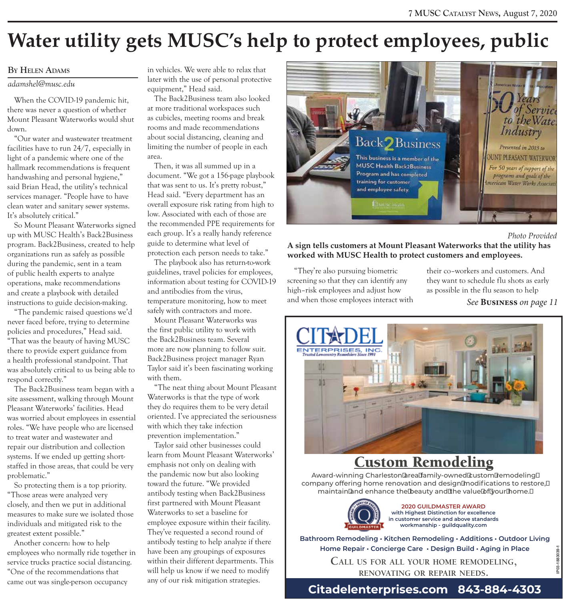# **Water utility gets MUSC's help to protect employees, public**

### **BY HELEN ADAMS**

*adamshel@musc.edu* 

When the COVID-19 pandemic hit, there was never a question of whether Mount Pleasant Waterworks would shut down.

"Our water and wastewater treatment facilities have to run 24/7, especially in light of a pandemic where one of the hallmark recommendations is frequent handwashing and personal hygiene," said Brian Head, the utility's technical services manager. "People have to have clean water and sanitary sewer systems. It's absolutely critical."

So Mount Pleasant Waterworks signed up with MUSC Health's Back2Business program. Back2Business, created to help organizations run as safely as possible during the pandemic, sent in a team of public health experts to analyze operations, make recommendations and create a playbook with detailed instructions to guide decision-making.

"The pandemic raised questions we'd never faced before, trying to determine policies and procedures," Head said. "That was the beauty of having MUSC there to provide expert guidance from a health professional standpoint. That was absolutely critical to us being able to respond correctly."

The Back2Business team began with a site assessment, walking through Mount Pleasant Waterworks' facilities. Head was worried about employees in essential roles. "We have people who are licensed to treat water and wastewater and repair our distribution and collection systems. If we ended up getting shortstaffed in those areas, that could be very problematic."

So protecting them is a top priority. "Those areas were analyzed very closely, and then we put in additional measures to make sure we isolated those individuals and mitigated risk to the greatest extent possible."

Another concern: how to help employees who normally ride together in service trucks practice social distancing. "One of the recommendations that came out was single-person occupancy

in vehicles. We were able to relax that later with the use of personal protective equipment," Head said.

The Back2Business team also looked at more traditional workspaces such as cubicles, meeting rooms and break rooms and made recommendations about social distancing, cleaning and limiting the number of people in each area.

Then, it was all summed up in a document. "We got a 156-page playbook that was sent to us. It's pretty robust," Head said. "Every department has an overall exposure risk rating from high to low. Associated with each of those are the recommended PPE requirements for each group. It's a really handy reference guide to determine what level of protection each person needs to take."

The playbook also has return-to-work guidelines, travel policies for employees, information about testing for COVID-19 and antibodies from the virus, temperature monitoring, how to meet safely with contractors and more.

Mount Pleasant Waterworks was the first public utility to work with the Back2Business team. Several more are now planning to follow suit. Back2Business project manager Ryan Taylor said it's been fascinating working with them.

"The neat thing about Mount Pleasant Waterworks is that the type of work they do requires them to be very detail oriented. I've appreciated the seriousness with which they take infection prevention implementation."

Taylor said other businesses could learn from Mount Pleasant Waterworks' emphasis not only on dealing with the pandemic now but also looking toward the future. "We provided antibody testing when Back2Business first partnered with Mount Pleasant Waterworks to set a baseline for employee exposure within their facility. They've requested a second round of antibody testing to help analyze if there have been any groupings of exposures within their different departments. This will help us know if we need to modify any of our risk mitigation strategies.



#### *Photo Provided*

**A sign tells customers at Mount Pleasant Waterworks that the utility has worked with MUSC Health to protect customers and employees.** 

"They're also pursuing biometric their co–workers and customers. And screening so that they can identify any they want to schedule flu shots as early high–risk employees and adjust how as possible in the flu season to help and when those employees interact with *See* **Business** *on page 11* 



### Custom Remodeling

Award-winning Charleston area family-owned custom remodeling company offering home renovation and design modifications to restore, maintain and enhance the beauty and the value of your home.



**2020 GUILDMASTER AWARD with Highest Distinction for excellence in customer service and above standards workmanship - guildquality.com**

**Bathroom Remodeling•Kitchen Remodeling • Additions•Outdoor Living Home Repair • Concierge Care • Design Build • Aging in Place**

> **CALL US FOR ALL YOUR HOME REMODELING, RENOVATING OR REPAIR NEEDS.**

### **Citadelenterprises.com 843-884-4303**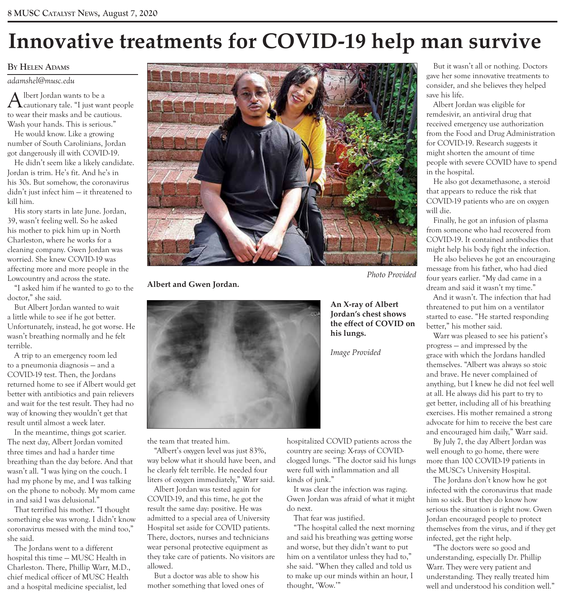# **Innovative treatments for COVID-19 help man survive**

### **BY HELEN ADAMS**

*adamshel@musc.edu* 

Albert Jordan wants to be a cautionary tale. "I just want people to wear their masks and be cautious. Wash your hands. This is serious."

He would know. Like a growing number of South Carolinians, Jordan got dangerously ill with COVID-19.

He didn't seem like a likely candidate. Jordan is trim. He's fit. And he's in his 30s. But somehow, the coronavirus didn't just infect him — it threatened to kill him.

His story starts in late June. Jordan, 39, wasn't feeling well. So he asked his mother to pick him up in North Charleston, where he works for a cleaning company. Gwen Jordan was worried. She knew COVID-19 was affecting more and more people in the Lowcountry and across the state.

"I asked him if he wanted to go to the doctor," she said.

But Albert Jordan wanted to wait a little while to see if he got better. Unfortunately, instead, he got worse. He wasn't breathing normally and he felt terrible.

A trip to an emergency room led to a pneumonia diagnosis — and a COVID-19 test. Then, the Jordans returned home to see if Albert would get better with antibiotics and pain relievers and wait for the test result. They had no way of knowing they wouldn't get that result until almost a week later.

In the meantime, things got scarier. The next day, Albert Jordan vomited three times and had a harder time breathing than the day before. And that wasn't all. "I was lying on the couch. I had my phone by me, and I was talking on the phone to nobody. My mom came in and said I was delusional."

That terrified his mother. "I thought something else was wrong. I didn't know coronavirus messed with the mind too," she said.

The Jordans went to a different hospital this time — MUSC Health in Charleston. There, Phillip Warr, M.D., chief medical officer of MUSC Health and a hospital medicine specialist, led



**Albert and Gwen Jordan.** 



the team that treated him.

"Albert's oxygen level was just 83%, way below what it should have been, and he clearly felt terrible. He needed four liters of oxygen immediately," Warr said.

Albert Jordan was tested again for COVID-19, and this time, he got the result the same day: positive. He was admitted to a special area of University Hospital set aside for COVID patients. There, doctors, nurses and technicians wear personal protective equipment as they take care of patients. No visitors are allowed.

But a doctor was able to show his mother something that loved ones of **An X-ray of Albert Jordan's chest shows the effect of COVID on his lungs.** 

*Image Provided* 

hospitalized COVID patients across the country are seeing: X-rays of COVIDclogged lungs. "The doctor said his lungs were full with inflammation and all kinds of junk."

It was clear the infection was raging. Gwen Jordan was afraid of what it might do next.

That fear was justified.

"The hospital called the next morning and said his breathing was getting worse and worse, but they didn't want to put him on a ventilator unless they had to," she said. "When they called and told us to make up our minds within an hour, I thought, 'Wow.'"

But it wasn't all or nothing. Doctors gave her some innovative treatments to consider, and she believes they helped save his life.

Albert Jordan was eligible for remdesivir, an anti-viral drug that received emergency use authorization from the Food and Drug Administration for COVID-19. Research suggests it might shorten the amount of time people with severe COVID have to spend in the hospital.

He also got dexamethasone, a steroid that appears to reduce the risk that COVID-19 patients who are on oxygen will die.

Finally, he got an infusion of plasma from someone who had recovered from COVID-19. It contained antibodies that might help his body fight the infection.

He also believes he got an encouraging message from his father, who had died four years earlier. "My dad came in a dream and said it wasn't my time."

And it wasn't. The infection that had threatened to put him on a ventilator started to ease. "He started responding better," his mother said.

Warr was pleased to see his patient's progress — and impressed by the grace with which the Jordans handled themselves. "Albert was always so stoic and brave. He never complained of anything, but I knew he did not feel well at all. He always did his part to try to get better, including all of his breathing exercises. His mother remained a strong advocate for him to receive the best care and encouraged him daily," Warr said.

By July 7, the day Albert Jordan was well enough to go home, there were more than 100 COVID-19 patients in the MUSC's University Hospital.

The Jordans don't know how he got infected with the coronavirus that made him so sick. But they do know how serious the situation is right now. Gwen Jordan encouraged people to protect themselves from the virus, and if they get infected, get the right help.

"The doctors were so good and understanding, especially Dr. Phillip Warr. They were very patient and understanding. They really treated him well and understood his condition well."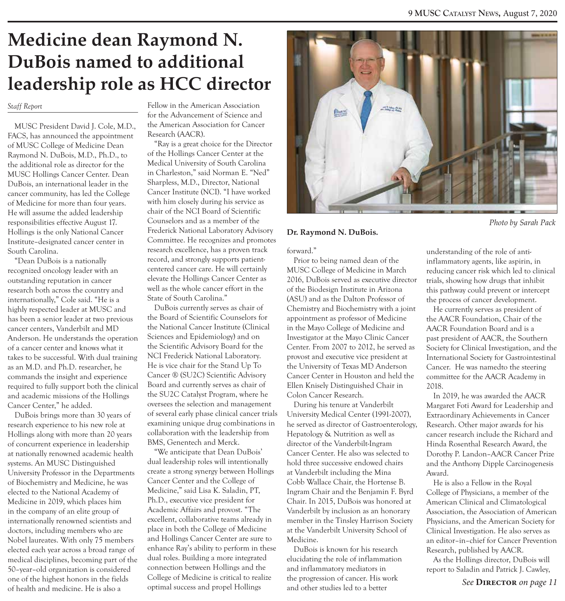### **Medicine dean Raymond N. DuBois named to additional leadership role as HCC director**

#### *Staff Report*

MUSC President David J. Cole, M.D., FACS, has announced the appointment of MUSC College of Medicine Dean Raymond N. DuBois, M.D., Ph.D., to the additional role as director for the MUSC Hollings Cancer Center. Dean DuBois, an international leader in the cancer community, has led the College of Medicine for more than four years. He will assume the added leadership responsibilities effective August 17. Hollings is the only National Cancer Institute–designated cancer center in South Carolina.

"Dean DuBois is a nationally recognized oncology leader with an outstanding reputation in cancer research both across the country and internationally," Cole said. "He is a highly respected leader at MUSC and has been a senior leader at two previous cancer centers, Vanderbilt and MD Anderson. He understands the operation of a cancer center and knows what it takes to be successful. With dual training as an M.D. and Ph.D. researcher, he commands the insight and experience required to fully support both the clinical and academic missions of the Hollings Cancer Center," he added.

DuBois brings more than 30 years of research experience to his new role at Hollings along with more than 20 years of concurrent experience in leadership at nationally renowned academic health systems. An MUSC Distinguished University Professor in the Departments of Biochemistry and Medicine, he was elected to the National Academy of Medicine in 2019, which places him in the company of an elite group of internationally renowned scientists and doctors, including members who are Nobel laureates. With only 75 members elected each year across a broad range of medical disciplines, becoming part of the 50–year–old organization is considered one of the highest honors in the fields of health and medicine. He is also a

Fellow in the American Association for the Advancement of Science and the American Association for Cancer Research (AACR).

"Ray is a great choice for the Director of the Hollings Cancer Center at the Medical University of South Carolina in Charleston," said Norman E. "Ned" Sharpless, M.D., Director, National Cancer Institute (NCI). "I have worked with him closely during his service as chair of the NCI Board of Scientific Counselors and as a member of the Frederick National Laboratory Advisory Committee. He recognizes and promotes research excellence, has a proven track record, and strongly supports patientcentered cancer care. He will certainly elevate the Hollings Cancer Center as well as the whole cancer effort in the State of South Carolina."

DuBois currently serves as chair of the Board of Scientific Counselors for the National Cancer Institute (Clinical Sciences and Epidemiology) and on the Scientific Advisory Board for the NCI Frederick National Laboratory. He is vice chair for the Stand Up To Cancer ® (SU2C) Scientific Advisory Board and currently serves as chair of the SU2C Catalyst Program, where he oversees the selection and management of several early phase clinical cancer trials examining unique drug combinations in collaboration with the leadership from BMS, Genentech and Merck.

"We anticipate that Dean DuBois' dual leadership roles will intentionally create a strong synergy between Hollings Cancer Center and the College of Medicine," said Lisa K. Saladin, PT, Ph.D., executive vice president for Academic Affairs and provost. "The excellent, collaborative teams already in place in both the College of Medicine and Hollings Cancer Center are sure to enhance Ray's ability to perform in these dual roles. Building a more integrated connection between Hollings and the College of Medicine is critical to realize optimal success and propel Hollings



 *Photo by Sarah Pack* 

#### **Dr. Raymond N. DuBois.**

forward."

Prior to being named dean of the MUSC College of Medicine in March 2016, DuBois served as executive director of the Biodesign Institute in Arizona (ASU) and as the Dalton Professor of Chemistry and Biochemistry with a joint appointment as professor of Medicine in the Mayo College of Medicine and Investigator at the Mayo Clinic Cancer Center. From 2007 to 2012, he served as provost and executive vice president at the University of Texas MD Anderson Cancer Center in Houston and held the Ellen Knisely Distinguished Chair in Colon Cancer Research.

During his tenure at Vanderbilt University Medical Center (1991-2007), he served as director of Gastroenterology, Hepatology & Nutrition as well as director of the Vanderbilt-Ingram Cancer Center. He also was selected to hold three successive endowed chairs at Vanderbilt including the Mina Cobb Wallace Chair, the Hortense B. Ingram Chair and the Benjamin F. Byrd Chair. In 2015, DuBois was honored at Vanderbilt by inclusion as an honorary member in the Tinsley Harrison Society at the Vanderbilt University School of Medicine.

DuBois is known for his research elucidating the role of inflammation and inflammatory mediators in the progression of cancer. His work and other studies led to a better

understanding of the role of antiinflammatory agents, like aspirin, in reducing cancer risk which led to clinical trials, showing how drugs that inhibit this pathway could prevent or intercept the process of cancer development.

He currently serves as president of the AACR Foundation, Chair of the AACR Foundation Board and is a past president of AACR, the Southern Society for Clinical Investigation, and the International Society for Gastrointestinal Cancer. He was namedto the steering committee for the AACR Academy in 2018.

In 2019, he was awarded the AACR Margaret Foti Award for Leadership and Extraordinary Achievements in Cancer Research. Other major awards for his cancer research include the Richard and Hinda Rosenthal Research Award, the Dorothy P. Landon–AACR Cancer Prize and the Anthony Dipple Carcinogenesis Award.

He is also a Fellow in the Royal College of Physicians, a member of the American Clinical and Climatological Association, the Association of American Physicians, and the American Society for Clinical Investigation. He also serves as an editor–in–chief for Cancer Prevention Research, published by AACR.

As the Hollings director, DuBois will report to Saladin and Patrick J. Cawley,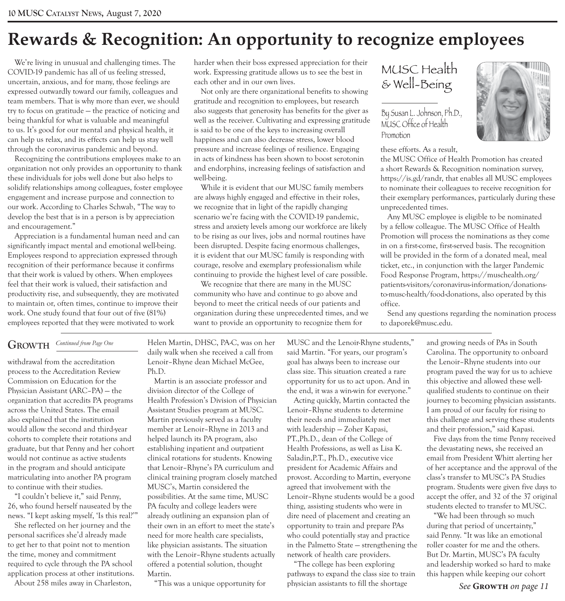### **Rewards & Recognition: An opportunity to recognize employees**

We're living in unusual and challenging times. The COVID-19 pandemic has all of us feeling stressed, uncertain, anxious, and for many, those feelings are expressed outwardly toward our family, colleagues and team members. That is why more than ever, we should try to focus on gratitude — the practice of noticing and being thankful for what is valuable and meaningful to us. It's good for our mental and physical health, it can help us relax, and its effects can help us stay well through the coronavirus pandemic and beyond.

Recognizing the contributions employees make to an organization not only provides an opportunity to thank these individuals for jobs well done but also helps to solidify relationships among colleagues, foster employee engagement and increase purpose and connection to our work. According to Charles Schwab, "The way to develop the best that is in a person is by appreciation and encouragement."

Appreciation is a fundamental human need and can significantly impact mental and emotional well-being. Employees respond to appreciation expressed through recognition of their performance because it confirms that their work is valued by others. When employees feel that their work is valued, their satisfaction and productivity rise, and subsequently, they are motivated to maintain or, often times, continue to improve their work. One study found that four out of five (81%) employees reported that they were motivated to work

harder when their boss expressed appreciation for their work. Expressing gratitude allows us to see the best in each other and in our own lives.

Not only are there organizational benefits to showing gratitude and recognition to employees, but research also suggests that generosity has benefits for the giver as well as the receiver. Cultivating and expressing gratitude is said to be one of the keys to increasing overall happiness and can also decrease stress, lower blood pressure and increase feelings of resilience. Engaging in acts of kindness has been shown to boost serotonin and endorphins, increasing feelings of satisfaction and well-being.

While it is evident that our MUSC family members are always highly engaged and effective in their roles, we recognize that in light of the rapidly changing scenario we're facing with the COVID-19 pandemic, stress and anxiety levels among our workforce are likely to be rising as our lives, jobs and normal routines have been disrupted. Despite facing enormous challenges, it is evident that our MUSC family is responding with courage, resolve and exemplary professionalism while continuing to provide the highest level of care possible.

We recognize that there are many in the MUSC community who have and continue to go above and beyond to meet the critical needs of our patients and organization during these unprecedented times, and we want to provide an opportunity to recognize them for

### MUSC Health & Well-Being

By Susan L. Johnson, Ph.D., MUSC Office of Health Promotion

these efforts. As a result,

the MUSC Office of Health Promotion has created a short Rewards & Recognition nomination survey, https://is.gd/randr, that enables all MUSC employees to nominate their colleagues to receive recognition for their exemplary performances, particularly during these unprecedented times.

Any MUSC employee is eligible to be nominated by a fellow colleague. The MUSC Office of Health Promotion will process the nominations as they come in on a first-come, first-served basis. The recognition will be provided in the form of a donated meal, meal ticket, etc., in conjunction with the larger Pandemic Food Response Program, https://muschealth.org/ patients-visitors/coronavirus-information/donationsto-musc-health/food-donations, also operated by this office.

Send any questions regarding the nomination process to daporek@musc.edu.

### $G$  **ROWTH**  $\frac{Continued \, from \, Page \, One}{\frac{1}{1-\frac{1}{1-\frac{1}{1-\frac{1}{1-\frac{1}{1-\frac{1}{1-\frac{1}{1-\frac{1}{1-\frac{1}{1-\frac{1}{1-\frac{1}{1-\frac{1}{1-\frac{1}{1-\frac{1}{1-\frac{1}{1-\frac{1}{1-\frac{1}{1-\frac{1}{1-\frac{1}{1-\frac{1}{1-\frac{1}{1-\frac{1}{1-\frac{1}{1-\frac{1}{1-\frac{1}{1-\frac{1}{1-\frac{1}{1-\frac{1}{1-\frac{1}{1-\frac{1}{1-\frac{1}{1-\frac{1}{1-\frac$

withdrawal from the accreditation process to the Accreditation Review Commission on Education for the Physician Assistant (ARC–PA) — the organization that accredits PA programs across the United States. The email also explained that the institution would allow the second and third-year cohorts to complete their rotations and graduate, but that Penny and her cohort would not continue as active students in the program and should anticipate matriculating into another PA program to continue with their studies.

"I couldn't believe it," said Penny, 26, who found herself nauseated by the news. "I kept asking myself, 'Is this real?'"

She reflected on her journey and the personal sacrifices she'd already made to get her to that point not to mention the time, money and commitment required to cycle through the PA school application process at other institutions.

About 258 miles away in Charleston,

Helen Martin, DHSC, PA-C, was on her daily walk when she received a call from Lenoir–Rhyne dean Michael McGee, Ph.D.

Martin is an associate professor and division director of the College of Health Profession's Division of Physician Assistant Studies program at MUSC. Martin previously served as a faculty member at Lenoir–Rhyne in 2013 and helped launch its PA program, also establishing inpatient and outpatient clinical rotations for students. Knowing that Lenoir–Rhyne's PA curriculum and clinical training program closely matched MUSC's, Martin considered the possibilities. At the same time, MUSC PA faculty and college leaders were already outlining an expansion plan of their own in an effort to meet the state's need for more health care specialists, like physician assistants. The situation with the Lenoir–Rhyne students actually offered a potential solution, thought Martin.

"This was a unique opportunity for

MUSC and the Lenoir-Rhyne students," said Martin. "For years, our program's goal has always been to increase our class size. This situation created a rare opportunity for us to act upon. And in the end, it was a win-win for everyone."

Acting quickly, Martin contacted the Lenoir–Rhyne students to determine their needs and immediately met with leadership — Zoher Kapasi, PT.,Ph.D., dean of the College of Health Professions, as well as Lisa K. Saladin,P.T., Ph.D., executive vice president for Academic Affairs and provost. According to Martin, everyone agreed that involvement with the Lenoir–Rhyne students would be a good thing, assisting students who were in dire need of placement and creating an opportunity to train and prepare PAs who could potentially stay and practice in the Palmetto State — strengthening the network of health care providers.

"The college has been exploring pathways to expand the class size to train physician assistants to fill the shortage

and growing needs of PAs in South Carolina. The opportunity to onboard the Lenoir–Rhyne students into our program paved the way for us to achieve this objective and allowed these wellqualified students to continue on their journey to becoming physician assistants. I am proud of our faculty for rising to this challenge and serving these students and their profession," said Kapasi.

Five days from the time Penny received the devastating news, she received an email from President Whitt alerting her of her acceptance and the approval of the class's transfer to MUSC's PA Studies program. Students were given five days to accept the offer, and 32 of the 37 original students elected to transfer to MUSC.

"We had been through so much during that period of uncertainty," said Penny. "It was like an emotional roller coaster for me and the others. But Dr. Martin, MUSC's PA faculty and leadership worked so hard to make this happen while keeping our cohort

*See* **Growth** *on page 11* 

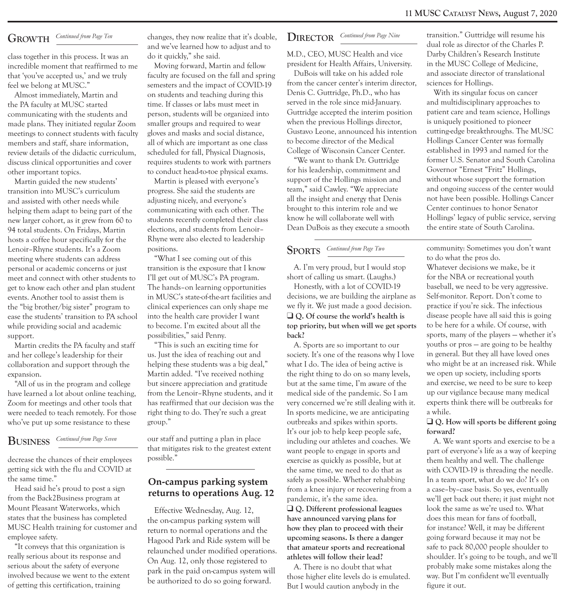### $G$  **ROWTH**  $\frac{Continued$  from Page Ten

class together in this process. It was an incredible moment that reaffirmed to me that 'you've accepted us,' and we truly feel we belong at MUSC."

Almost immediately, Martin and the PA faculty at MUSC started communicating with the students and made plans. They initiated regular Zoom meetings to connect students with faculty members and staff, share information, review details of the didactic curriculum, discuss clinical opportunities and cover other important topics.

Martin guided the new students' transition into MUSC's curriculum and assisted with other needs while helping them adapt to being part of the new larger cohort, as it grew from 60 to 94 total students. On Fridays, Martin hosts a coffee hour specifically for the Lenoir–Rhyne students. It's a Zoom meeting where students can address personal or academic concerns or just meet and connect with other students to get to know each other and plan student events. Another tool to assist them is the "big brother/big sister" program to ease the students' transition to PA school while providing social and academic support.

Martin credits the PA faculty and staff and her college's leadership for their collaboration and support through the expansion.

"All of us in the program and college have learned a lot about online teaching, Zoom for meetings and other tools that were needed to teach remotely. For those who've put up some resistance to these

### $\frac{1}{2}$  **BUSINESS** *Continued from Page Seven*

decrease the chances of their employees getting sick with the flu and COVID at the same time."

Head said he's proud to post a sign from the Back2Business program at Mount Pleasant Waterworks, which states that the business has completed MUSC Health training for customer and employee safety.

"It conveys that this organization is really serious about its response and serious about the safety of everyone involved because we went to the extent of getting this certification, training

changes, they now realize that it's doable, and we've learned how to adjust and to do it quickly," she said.

Moving forward, Martin and fellow faculty are focused on the fall and spring semesters and the impact of COVID-19 on students and teaching during this time. If classes or labs must meet in person, students will be organized into smaller groups and required to wear gloves and masks and social distance, all of which are important as one class scheduled for fall, Physical Diagnosis, requires students to work with partners to conduct head-to-toe physical exams.

Martin is pleased with everyone's progress. She said the students are adjusting nicely, and everyone's communicating with each other. The students recently completed their class elections, and students from Lenoir– Rhyne were also elected to leadership positions.

"What I see coming out of this transition is the exposure that I know I'll get out of MUSC's PA program. The hands–on learning opportunities in MUSC's state-of-the-art facilities and clinical experiences can only shape me into the health care provider I want to become. I'm excited about all the possibilities," said Penny.

"This is such an exciting time for us. Just the idea of reaching out and helping these students was a big deal," Martin added. "I've received nothing but sincere appreciation and gratitude from the Lenoir–Rhyne students, and it has reaffirmed that our decision was the right thing to do. They're such a great group."

our staff and putting a plan in place that mitigates risk to the greatest extent possible."

### **On-campus parking system returns to operations Aug. 12**

Effective Wednesday, Aug. 12, the on-campus parking system will return to normal operations and the Hagood Park and Ride system will be relaunched under modified operations. On Aug. 12, only those registered to park in the paid on-campus system will be authorized to do so going forward.

#### DIRECTOR  $Content$  *Continued from Page Nine*

M.D., CEO, MUSC Health and vice president for Health Affairs, University.

DuBois will take on his added role from the cancer center's interim director, Denis C. Guttridge, Ph.D., who has served in the role since mid-January. Guttridge accepted the interim position when the previous Hollings director, Gustavo Leone, announced his intention to become director of the Medical College of Wisconsin Cancer Center.

"We want to thank Dr. Guttridge for his leadership, commitment and support of the Hollings mission and team," said Cawley. "We appreciate all the insight and energy that Denis brought to this interim role and we know he will collaborate well with Dean DuBois as they execute a smooth

### *Continued from Page Two* **SPORTS**

A. I'm very proud, but I would stop short of calling us smart. (Laughs.)

Honestly, with a lot of COVID-19 decisions, we are building the airplane as we fly it. We just made a good decision. □ Q. Of course the world's health is **top priority, but when will we get sports back?** 

A. Sports are so important to our society. It's one of the reasons why I love what I do. The idea of being active is the right thing to do on so many levels, but at the same time, I'm aware of the medical side of the pandemic. So I am very concerned we're still dealing with it. In sports medicine, we are anticipating outbreaks and spikes within sports. It's our job to help keep people safe, including our athletes and coaches. We want people to engage in sports and exercise as quickly as possible, but at the same time, we need to do that as safely as possible. Whether rehabbing from a knee injury or recovering from a pandemic, it's the same idea. □ Q. Different professional leagues **have announced varying plans for how they plan to proceed with their upcoming seasons. Is there a danger that amateur sports and recreational athletes will follow their lead?** 

A. There is no doubt that what those higher elite levels do is emulated. But I would caution anybody in the

transition." Guttridge will resume his dual role as director of the Charles P. Darby Children's Research Institute in the MUSC College of Medicine, and associate director of translational sciences for Hollings.

With its singular focus on cancer and multidisciplinary approaches to patient care and team science, Hollings is uniquely positioned to pioneer cutting-edge breakthroughs. The MUSC Hollings Cancer Center was formally established in 1993 and named for the former U.S. Senator and South Carolina Governor "Ernest "Fritz" Hollings, without whose support the formation and ongoing success of the center would not have been possible. Hollings Cancer Center continues to honor Senator Hollings' legacy of public service, serving the entire state of South Carolina.

community: Sometimes you don't want to do what the pros do.

Whatever decisions we make, be it for the NBA or recreational youth baseball, we need to be very aggressive. Self-monitor. Report. Don't come to practice if you're sick. The infectious disease people have all said this is going to be here for a while. Of course, with sports, many of the players — whether it's youths or pros — are going to be healthy in general. But they all have loved ones who might be at an increased risk. While we open up society, including sports and exercise, we need to be sure to keep up our vigilance because many medical experts think there will be outbreaks for a while.

#### $□$  **○. How will sports be different going forward?**

A. We want sports and exercise to be a part of everyone's life as a way of keeping them healthy and well. The challenge with COVID-19 is threading the needle. In a team sport, what do we do? It's on a case–by–case basis. So yes, eventually we'll get back out there; it just might not look the same as we're used to. What does this mean for fans of football, for instance? Well, it may be different going forward because it may not be safe to pack 80,000 people shoulder to shoulder. It's going to be tough, and we'll probably make some mistakes along the way. But I'm confident we'll eventually figure it out.